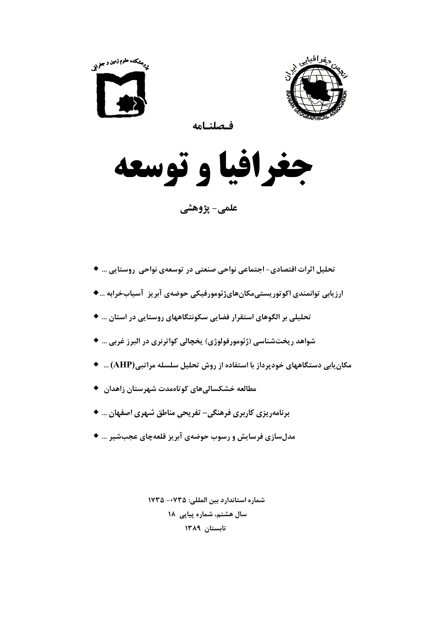



فحلنامه

جغرافيا و توسعه

علمي- پژوهشي

- تحلیل اثرات اقتصادی− اجتماعی نواحی صنعتی در توسعهی نواحی روستایی … ♦ ارزیابی توانمندی اکوتوریستیمکانهایژئومورفیکی حوضهی آبریز آسیابخرابه …♦ تحلیلی بر الگوهای استقرار فضایی سکونتگاههای روستایی در استان … ♦ شواهد ريختشناسي (ژئومورفولوژي) پخچالي كواترنري در البرز غربي … ♦ مکان بابی دستگاههای خودپرداز با استفاده از روش تحلیل سلسله مراتبی(AHP) … ♦ مطالعه خشکسالی های کوتاهمدت شهرستان زاهدان ♦ برنامهریزی کاربری فرهنگی− تفریحی مناطق شهری اصفهان … ♦
- مدلسازی فرسایش و رسوب حوضهی آبریز قلعهچای عجبشیر … ♦

شماره استاندارد بين المللي: ١٧٣٥ - ١٧٣٥ سال هشتم، شماره پیاپی ۱۸ تابستان ١٣٨٩